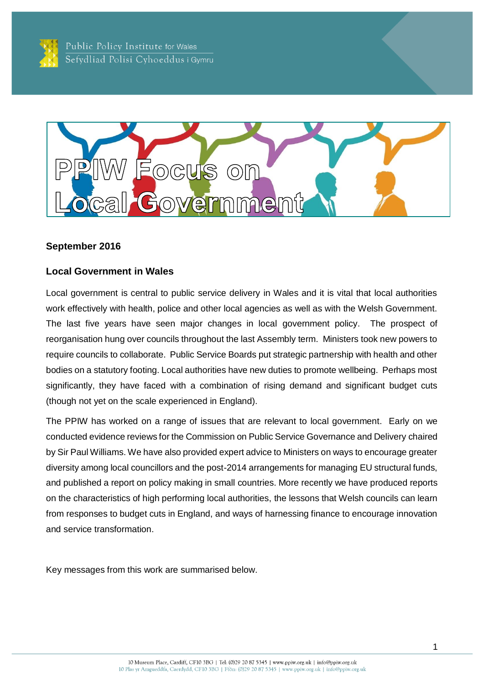



#### **September 2016**

### **Local Government in Wales**

Local government is central to public service delivery in Wales and it is vital that local authorities work effectively with health, police and other local agencies as well as with the Welsh Government. The last five years have seen major changes in local government policy. The prospect of reorganisation hung over councils throughout the last Assembly term. Ministers took new powers to require councils to collaborate. Public Service Boards put strategic partnership with health and other bodies on a statutory footing. Local authorities have new duties to promote wellbeing. Perhaps most significantly, they have faced with a combination of rising demand and significant budget cuts (though not yet on the scale experienced in England).

The PPIW has worked on a range of issues that are relevant to local government. Early on we conducted evidence reviews for the Commission on Public Service Governance and Delivery chaired by Sir Paul Williams. We have also provided expert advice to Ministers on ways to encourage greater diversity among local councillors and the post-2014 arrangements for managing EU structural funds, and published a report on policy making in small countries. More recently we have produced reports on the characteristics of high performing local authorities, the lessons that Welsh councils can learn from responses to budget cuts in England, and ways of harnessing finance to encourage innovation and service transformation.

Key messages from this work are summarised below.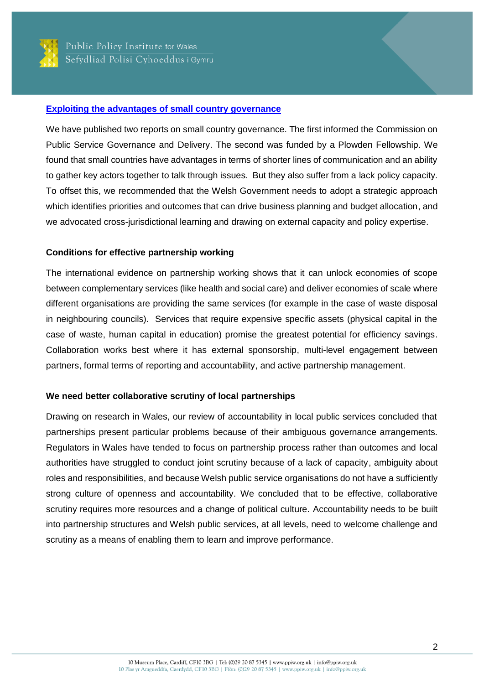

#### **Exploiting [the advantages of small country governance](http://ppiw.org.uk/files/2014/06/Small-Country-Governance.pdf)**

We have published two reports on small country governance. The first informed the Commission on Public Service Governance and Delivery. The second was funded by a Plowden Fellowship. We found that small countries have advantages in terms of shorter lines of communication and an ability to gather key actors together to talk through issues. But they also suffer from a lack policy capacity. To offset this, we recommended that the Welsh Government needs to adopt a strategic approach which identifies priorities and outcomes that can drive business planning and budget allocation, and we advocated cross-jurisdictional learning and drawing on external capacity and policy expertise.

### **Conditions for effective partnership working**

The international evidence on partnership working shows that it can unlock economies of scope between complementary services (like health and social care) and deliver economies of scale where different organisations are providing the same services (for example in the case of waste disposal in neighbouring councils). Services that require expensive specific assets (physical capital in the case of waste, human capital in education) promise the greatest potential for efficiency savings. Collaboration works best where it has external sponsorship, multi-level engagement between partners, formal terms of reporting and accountability, and active partnership management.

## **We need better collaborative scrutiny of local partnerships**

Drawing on research in Wales, our review of accountability in local public services concluded that partnerships present particular problems because of their ambiguous governance arrangements. Regulators in Wales have tended to focus on partnership process rather than outcomes and local authorities have struggled to conduct joint scrutiny because of a lack of capacity, ambiguity about roles and responsibilities, and because Welsh public service organisations do not have a sufficiently strong culture of openness and accountability. We concluded that to be effective, collaborative scrutiny requires more resources and a change of political culture. Accountability needs to be built into partnership structures and Welsh public services, at all levels, need to welcome challenge and scrutiny as a means of enabling them to learn and improve performance.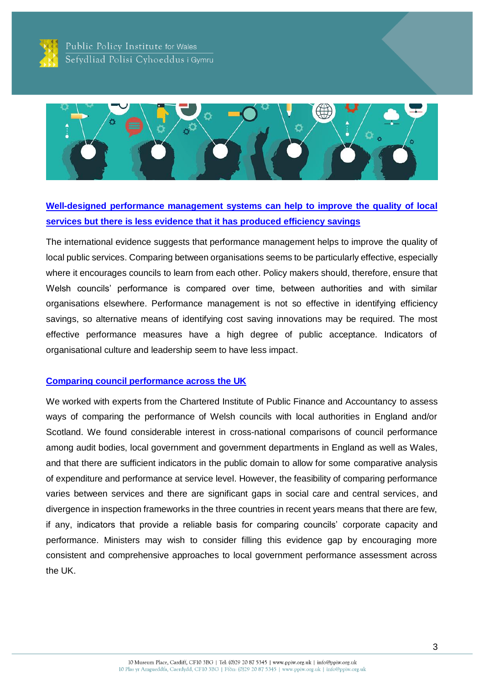

Public Policy Institute for Wales Sefydliad Polisi Cyhoeddus i Gymru



# **Well-designed [performance management systems can help to improve the quality](http://ppiw.org.uk/files/2014/06/PPIW-Performance-management-and-Public-Service-Improvement.pdf) of local [services but there is less evidence that it has produced efficiency savings](http://ppiw.org.uk/files/2014/06/PPIW-Performance-management-and-Public-Service-Improvement.pdf)**

The international evidence suggests that performance management helps to improve the quality of local public services. Comparing between organisations seems to be particularly effective, especially where it encourages councils to learn from each other. Policy makers should, therefore, ensure that Welsh councils' performance is compared over time, between authorities and with similar organisations elsewhere. Performance management is not so effective in identifying efficiency savings, so alternative means of identifying cost saving innovations may be required. The most effective performance measures have a high degree of public acceptance. Indicators of organisational culture and leadership seem to have less impact.

#### **[Comparing council performance across the UK](http://ppiw.org.uk/files/2015/09/Report-Comparing-council-performance-FINAL.pdf)**

We worked with experts from the Chartered Institute of Public Finance and Accountancy to assess ways of comparing the performance of Welsh councils with local authorities in England and/or Scotland. We found considerable interest in cross-national comparisons of council performance among audit bodies, local government and government departments in England as well as Wales, and that there are sufficient indicators in the public domain to allow for some comparative analysis of expenditure and performance at service level. However, the feasibility of comparing performance varies between services and there are significant gaps in social care and central services, and divergence in inspection frameworks in the three countries in recent years means that there are few, if any, indicators that provide a reliable basis for comparing councils' corporate capacity and performance. Ministers may wish to consider filling this evidence gap by encouraging more consistent and comprehensive approaches to local government performance assessment across the UK.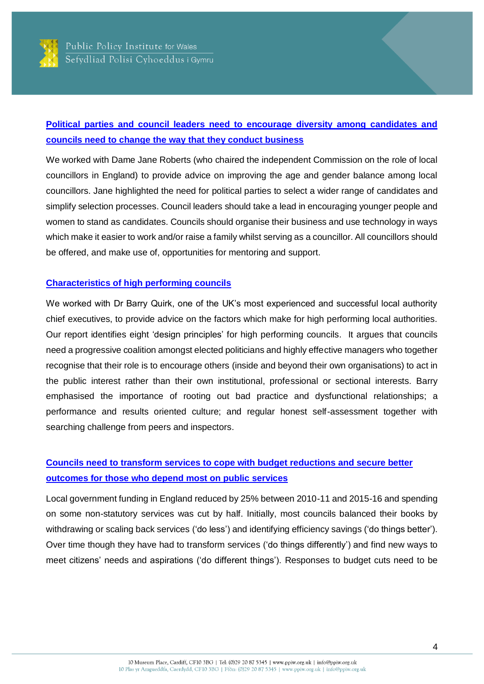

# **[Political parties and council leaders need to encourage diversity among candidates and](http://ppiw.org.uk/blog-diversity-in-local-government/)  [councils need to change the way that they conduct business](http://ppiw.org.uk/blog-diversity-in-local-government/)**

We worked with Dame Jane Roberts (who chaired the independent Commission on the role of local councillors in England) to provide advice on improving the age and gender balance among local councillors. Jane highlighted the need for political parties to select a wider range of candidates and simplify selection processes. Council leaders should take a lead in encouraging younger people and women to stand as candidates. Councils should organise their business and use technology in ways which make it easier to work and/or raise a family whilst serving as a councillor. All councillors should be offered, and make use of, opportunities for mentoring and support.

## **[Characteristics of high performing councils](http://ppiw.org.uk/files/2015/07/High-Performing-Councils-Thinkpiece-Final.pdf)**

We worked with Dr Barry Quirk, one of the UK's most experienced and successful local authority chief executives, to provide advice on the factors which make for high performing local authorities. Our report identifies eight 'design principles' for high performing councils. It argues that councils need a progressive coalition amongst elected politicians and highly effective managers who together recognise that their role is to encourage others (inside and beyond their own organisations) to act in the public interest rather than their own institutional, professional or sectional interests. Barry emphasised the importance of rooting out bad practice and dysfunctional relationships; a performance and results oriented culture; and regular honest self-assessment together with searching challenge from peers and inspectors.

# **[Councils need to transform services to cope with budget reductions](http://ppiw.org.uk/files/2015/12/Coping-with-the-Cuts-Final-Report-PDF.pdf) and secure better [outcomes for those who depend most on public services](http://ppiw.org.uk/files/2015/12/Coping-with-the-Cuts-Final-Report-PDF.pdf)**

Local government funding in England reduced by 25% between 2010-11 and 2015-16 and spending on some non-statutory services was cut by half. Initially, most councils balanced their books by withdrawing or scaling back services ('do less') and identifying efficiency savings ('do things better'). Over time though they have had to transform services ('do things differently') and find new ways to meet citizens' needs and aspirations ('do different things'). Responses to budget cuts need to be